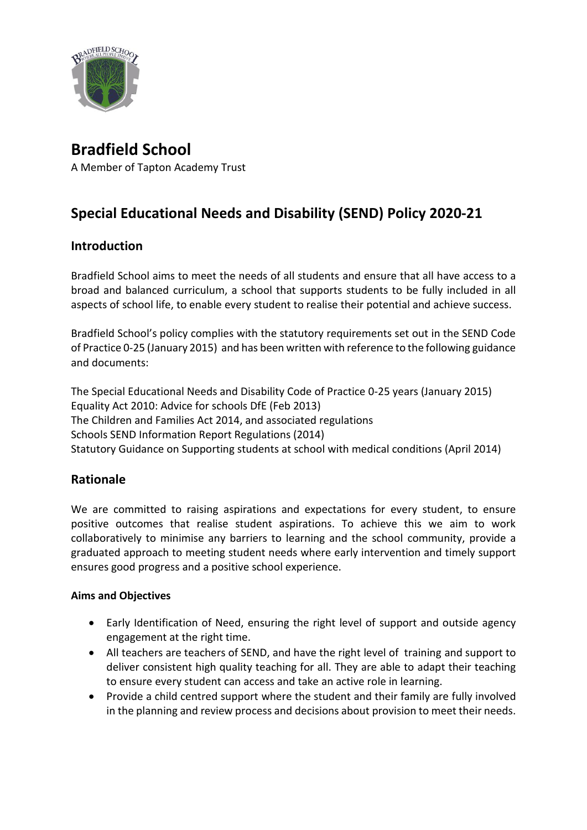

# **Bradfield School**

A Member of Tapton Academy Trust

# **Special Educational Needs and Disability (SEND) Policy 2020-21**

# **Introduction**

Bradfield School aims to meet the needs of all students and ensure that all have access to a broad and balanced curriculum, a school that supports students to be fully included in all aspects of school life, to enable every student to realise their potential and achieve success.

Bradfield School's policy complies with the statutory requirements set out in the SEND Code of Practice 0-25 (January 2015) and has been written with reference to the following guidance and documents:

The Special Educational Needs and Disability Code of Practice 0-25 years (January 2015) Equality Act 2010: Advice for schools DfE (Feb 2013) The Children and Families Act 2014, and associated regulations Schools SEND Information Report Regulations (2014) Statutory Guidance on Supporting students at school with medical conditions (April 2014)

# **Rationale**

We are committed to raising aspirations and expectations for every student, to ensure positive outcomes that realise student aspirations. To achieve this we aim to work collaboratively to minimise any barriers to learning and the school community, provide a graduated approach to meeting student needs where early intervention and timely support ensures good progress and a positive school experience.

# **Aims and Objectives**

- Early Identification of Need, ensuring the right level of support and outside agency engagement at the right time.
- All teachers are teachers of SEND, and have the right level of training and support to deliver consistent high quality teaching for all. They are able to adapt their teaching to ensure every student can access and take an active role in learning.
- Provide a child centred support where the student and their family are fully involved in the planning and review process and decisions about provision to meet their needs.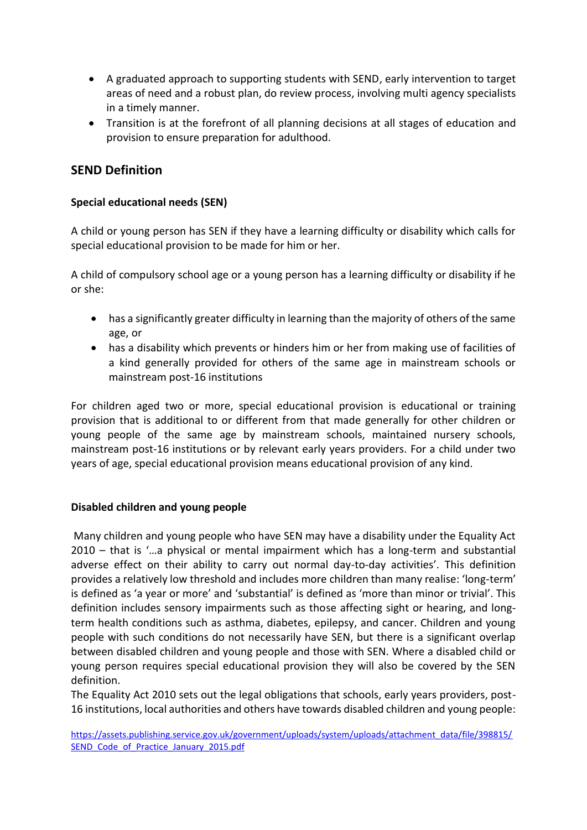- A graduated approach to supporting students with SEND, early intervention to target areas of need and a robust plan, do review process, involving multi agency specialists in a timely manner.
- Transition is at the forefront of all planning decisions at all stages of education and provision to ensure preparation for adulthood.

# **SEND Definition**

# **Special educational needs (SEN)**

A child or young person has SEN if they have a learning difficulty or disability which calls for special educational provision to be made for him or her.

A child of compulsory school age or a young person has a learning difficulty or disability if he or she:

- has a significantly greater difficulty in learning than the majority of others of the same age, or
- has a disability which prevents or hinders him or her from making use of facilities of a kind generally provided for others of the same age in mainstream schools or mainstream post-16 institutions

For children aged two or more, special educational provision is educational or training provision that is additional to or different from that made generally for other children or young people of the same age by mainstream schools, maintained nursery schools, mainstream post-16 institutions or by relevant early years providers. For a child under two years of age, special educational provision means educational provision of any kind.

### **Disabled children and young people**

Many children and young people who have SEN may have a disability under the Equality Act 2010 – that is '…a physical or mental impairment which has a long-term and substantial adverse effect on their ability to carry out normal day-to-day activities'. This definition provides a relatively low threshold and includes more children than many realise: 'long-term' is defined as 'a year or more' and 'substantial' is defined as 'more than minor or trivial'. This definition includes sensory impairments such as those affecting sight or hearing, and longterm health conditions such as asthma, diabetes, epilepsy, and cancer. Children and young people with such conditions do not necessarily have SEN, but there is a significant overlap between disabled children and young people and those with SEN. Where a disabled child or young person requires special educational provision they will also be covered by the SEN definition.

The Equality Act 2010 sets out the legal obligations that schools, early years providers, post-16 institutions, local authorities and others have towards disabled children and young people: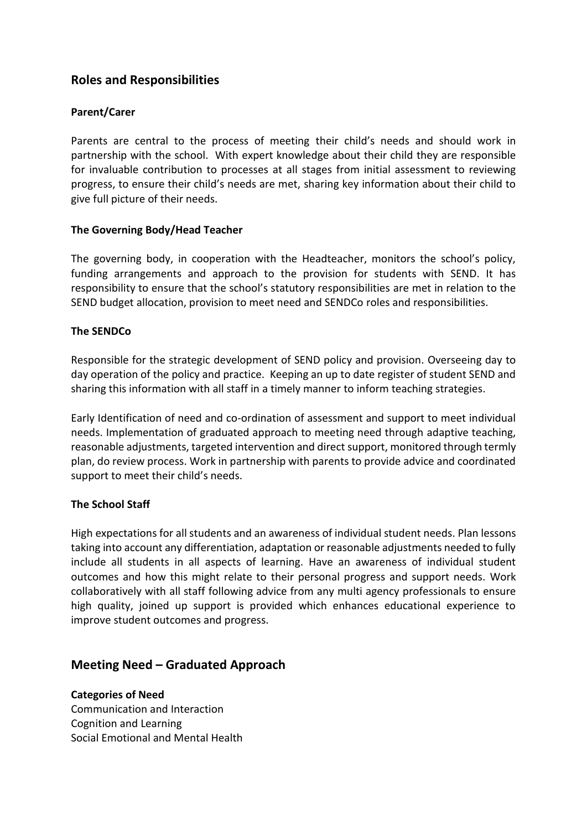# **Roles and Responsibilities**

# **Parent/Carer**

Parents are central to the process of meeting their child's needs and should work in partnership with the school. With expert knowledge about their child they are responsible for invaluable contribution to processes at all stages from initial assessment to reviewing progress, to ensure their child's needs are met, sharing key information about their child to give full picture of their needs.

### **The Governing Body/Head Teacher**

The governing body, in cooperation with the Headteacher, monitors the school's policy, funding arrangements and approach to the provision for students with SEND. It has responsibility to ensure that the school's statutory responsibilities are met in relation to the SEND budget allocation, provision to meet need and SENDCo roles and responsibilities.

## **The SENDCo**

Responsible for the strategic development of SEND policy and provision. Overseeing day to day operation of the policy and practice. Keeping an up to date register of student SEND and sharing this information with all staff in a timely manner to inform teaching strategies.

Early Identification of need and co-ordination of assessment and support to meet individual needs. Implementation of graduated approach to meeting need through adaptive teaching, reasonable adjustments, targeted intervention and direct support, monitored through termly plan, do review process. Work in partnership with parents to provide advice and coordinated support to meet their child's needs.

### **The School Staff**

High expectations for all students and an awareness of individual student needs. Plan lessons taking into account any differentiation, adaptation or reasonable adjustments needed to fully include all students in all aspects of learning. Have an awareness of individual student outcomes and how this might relate to their personal progress and support needs. Work collaboratively with all staff following advice from any multi agency professionals to ensure high quality, joined up support is provided which enhances educational experience to improve student outcomes and progress.

# **Meeting Need – Graduated Approach**

**Categories of Need**  Communication and Interaction Cognition and Learning Social Emotional and Mental Health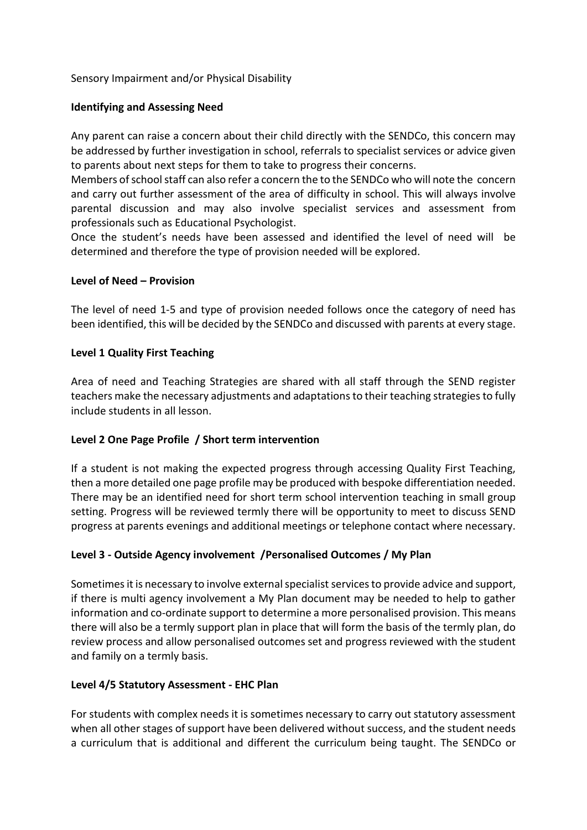## Sensory Impairment and/or Physical Disability

## **Identifying and Assessing Need**

Any parent can raise a concern about their child directly with the SENDCo, this concern may be addressed by further investigation in school, referrals to specialist services or advice given to parents about next steps for them to take to progress their concerns.

Members of school staff can also refer a concern the to the SENDCo who will note the concern and carry out further assessment of the area of difficulty in school. This will always involve parental discussion and may also involve specialist services and assessment from professionals such as Educational Psychologist.

Once the student's needs have been assessed and identified the level of need will be determined and therefore the type of provision needed will be explored.

### **Level of Need – Provision**

The level of need 1-5 and type of provision needed follows once the category of need has been identified, this will be decided by the SENDCo and discussed with parents at every stage.

### **Level 1 Quality First Teaching**

Area of need and Teaching Strategies are shared with all staff through the SEND register teachers make the necessary adjustments and adaptations to their teaching strategies to fully include students in all lesson.

### **Level 2 One Page Profile / Short term intervention**

If a student is not making the expected progress through accessing Quality First Teaching, then a more detailed one page profile may be produced with bespoke differentiation needed. There may be an identified need for short term school intervention teaching in small group setting. Progress will be reviewed termly there will be opportunity to meet to discuss SEND progress at parents evenings and additional meetings or telephone contact where necessary.

### **Level 3 - Outside Agency involvement /Personalised Outcomes / My Plan**

Sometimes it is necessary to involve external specialist services to provide advice and support, if there is multi agency involvement a My Plan document may be needed to help to gather information and co-ordinate support to determine a more personalised provision. This means there will also be a termly support plan in place that will form the basis of the termly plan, do review process and allow personalised outcomes set and progress reviewed with the student and family on a termly basis.

### **Level 4/5 Statutory Assessment - EHC Plan**

For students with complex needs it is sometimes necessary to carry out statutory assessment when all other stages of support have been delivered without success, and the student needs a curriculum that is additional and different the curriculum being taught. The SENDCo or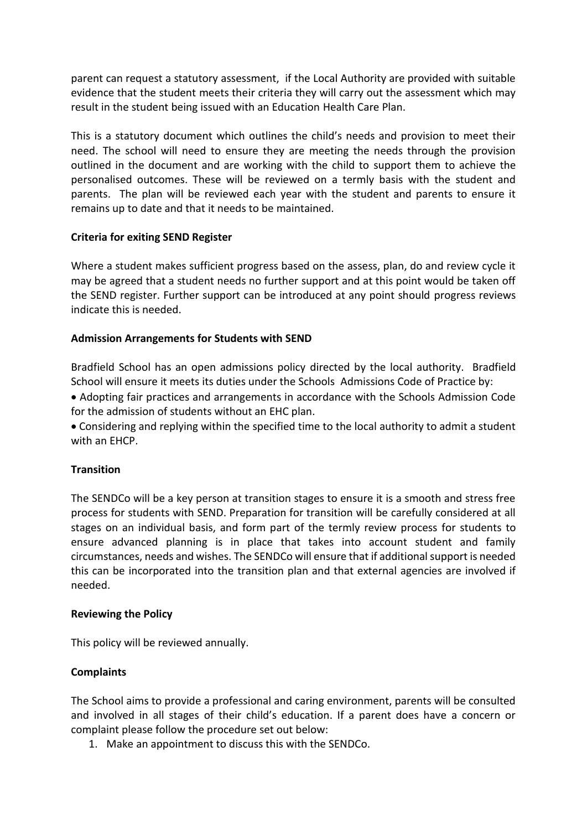parent can request a statutory assessment, if the Local Authority are provided with suitable evidence that the student meets their criteria they will carry out the assessment which may result in the student being issued with an Education Health Care Plan.

This is a statutory document which outlines the child's needs and provision to meet their need. The school will need to ensure they are meeting the needs through the provision outlined in the document and are working with the child to support them to achieve the personalised outcomes. These will be reviewed on a termly basis with the student and parents. The plan will be reviewed each year with the student and parents to ensure it remains up to date and that it needs to be maintained.

## **Criteria for exiting SEND Register**

Where a student makes sufficient progress based on the assess, plan, do and review cycle it may be agreed that a student needs no further support and at this point would be taken off the SEND register. Further support can be introduced at any point should progress reviews indicate this is needed.

## **Admission Arrangements for Students with SEND**

Bradfield School has an open admissions policy directed by the local authority. Bradfield School will ensure it meets its duties under the Schools Admissions Code of Practice by:

• Adopting fair practices and arrangements in accordance with the Schools Admission Code for the admission of students without an EHC plan.

• Considering and replying within the specified time to the local authority to admit a student with an EHCP.

### **Transition**

The SENDCo will be a key person at transition stages to ensure it is a smooth and stress free process for students with SEND. Preparation for transition will be carefully considered at all stages on an individual basis, and form part of the termly review process for students to ensure advanced planning is in place that takes into account student and family circumstances, needs and wishes. The SENDCo will ensure that if additional support is needed this can be incorporated into the transition plan and that external agencies are involved if needed.

### **Reviewing the Policy**

This policy will be reviewed annually.

# **Complaints**

The School aims to provide a professional and caring environment, parents will be consulted and involved in all stages of their child's education. If a parent does have a concern or complaint please follow the procedure set out below:

1. Make an appointment to discuss this with the SENDCo.